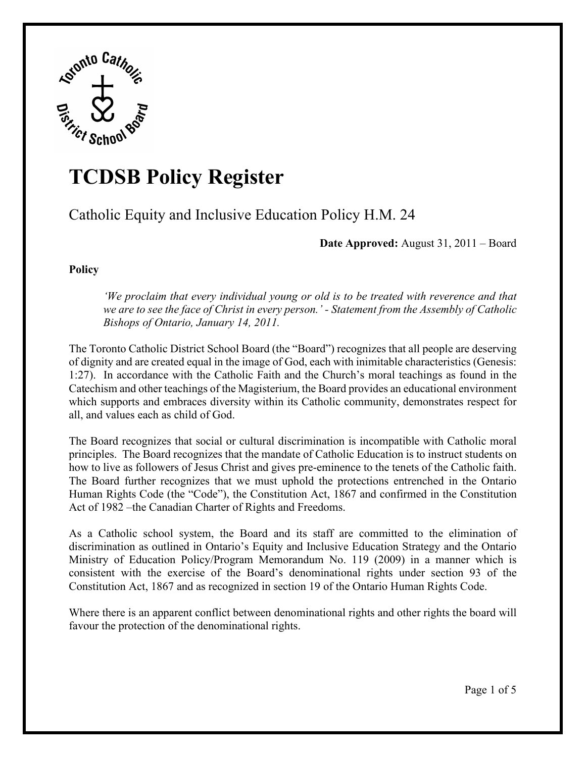

## **TCDSB Policy Register**

Catholic Equity and Inclusive Education Policy H.M. 24

**Date Approved:** August 31, 2011 – Board

**Policy** 

*'We proclaim that every individual young or old is to be treated with reverence and that we are to see the face of Christ in every person.' - Statement from the Assembly of Catholic Bishops of Ontario, January 14, 2011.* 

The Toronto Catholic District School Board (the "Board") recognizes that all people are deserving of dignity and are created equal in the image of God, each with inimitable characteristics (Genesis: 1:27). In accordance with the Catholic Faith and the Church's moral teachings as found in the Catechism and other teachings of the Magisterium, the Board provides an educational environment which supports and embraces diversity within its Catholic community, demonstrates respect for all, and values each as child of God.

The Board recognizes that social or cultural discrimination is incompatible with Catholic moral principles. The Board recognizes that the mandate of Catholic Education is to instruct students on how to live as followers of Jesus Christ and gives pre-eminence to the tenets of the Catholic faith. The Board further recognizes that we must uphold the protections entrenched in the Ontario Human Rights Code (the "Code"), the Constitution Act, 1867 and confirmed in the Constitution Act of 1982 –the Canadian Charter of Rights and Freedoms.

As a Catholic school system, the Board and its staff are committed to the elimination of discrimination as outlined in Ontario's Equity and Inclusive Education Strategy and the Ontario Ministry of Education Policy/Program Memorandum No. 119 (2009) in a manner which is consistent with the exercise of the Board's denominational rights under section 93 of the Constitution Act, 1867 and as recognized in section 19 of the Ontario Human Rights Code.

Where there is an apparent conflict between denominational rights and other rights the board will favour the protection of the denominational rights.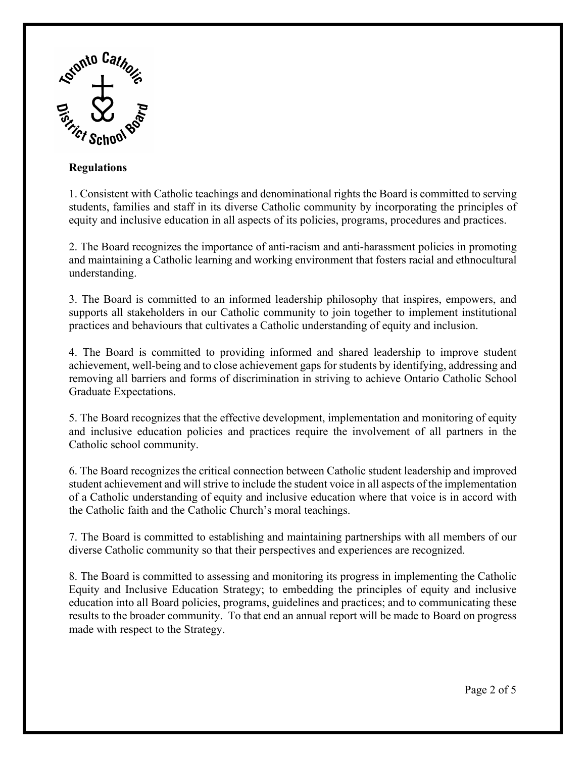

## **Regulations**

1. Consistent with Catholic teachings and denominational rights the Board is committed to serving students, families and staff in its diverse Catholic community by incorporating the principles of equity and inclusive education in all aspects of its policies, programs, procedures and practices.

2. The Board recognizes the importance of anti-racism and anti-harassment policies in promoting and maintaining a Catholic learning and working environment that fosters racial and ethnocultural understanding.

3. The Board is committed to an informed leadership philosophy that inspires, empowers, and supports all stakeholders in our Catholic community to join together to implement institutional practices and behaviours that cultivates a Catholic understanding of equity and inclusion.

4. The Board is committed to providing informed and shared leadership to improve student achievement, well-being and to close achievement gaps for students by identifying, addressing and removing all barriers and forms of discrimination in striving to achieve Ontario Catholic School Graduate Expectations.

5. The Board recognizes that the effective development, implementation and monitoring of equity and inclusive education policies and practices require the involvement of all partners in the Catholic school community.

6. The Board recognizes the critical connection between Catholic student leadership and improved student achievement and will strive to include the student voice in all aspects of the implementation of a Catholic understanding of equity and inclusive education where that voice is in accord with the Catholic faith and the Catholic Church's moral teachings.

7. The Board is committed to establishing and maintaining partnerships with all members of our diverse Catholic community so that their perspectives and experiences are recognized.

8. The Board is committed to assessing and monitoring its progress in implementing the Catholic Equity and Inclusive Education Strategy; to embedding the principles of equity and inclusive education into all Board policies, programs, guidelines and practices; and to communicating these results to the broader community. To that end an annual report will be made to Board on progress made with respect to the Strategy.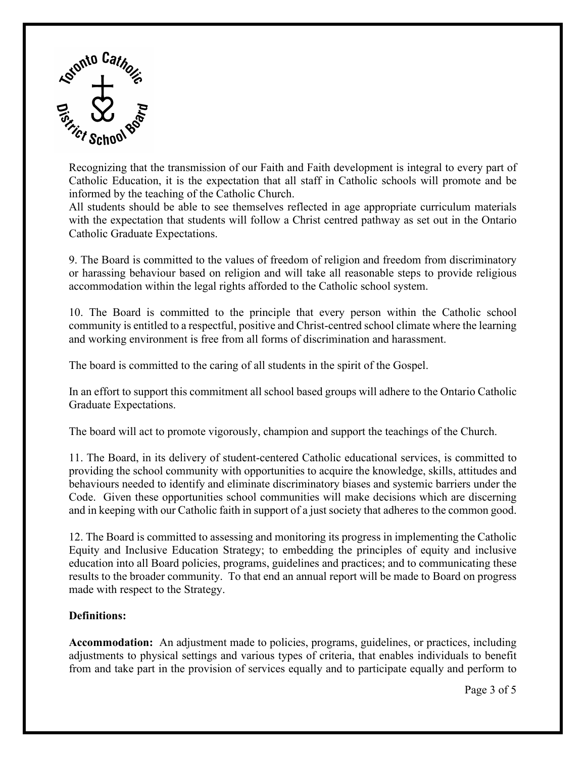

Recognizing that the transmission of our Faith and Faith development is integral to every part of Catholic Education, it is the expectation that all staff in Catholic schools will promote and be informed by the teaching of the Catholic Church.

All students should be able to see themselves reflected in age appropriate curriculum materials with the expectation that students will follow a Christ centred pathway as set out in the Ontario Catholic Graduate Expectations.

9. The Board is committed to the values of freedom of religion and freedom from discriminatory or harassing behaviour based on religion and will take all reasonable steps to provide religious accommodation within the legal rights afforded to the Catholic school system.

10. The Board is committed to the principle that every person within the Catholic school community is entitled to a respectful, positive and Christ-centred school climate where the learning and working environment is free from all forms of discrimination and harassment.

The board is committed to the caring of all students in the spirit of the Gospel.

In an effort to support this commitment all school based groups will adhere to the Ontario Catholic Graduate Expectations.

The board will act to promote vigorously, champion and support the teachings of the Church.

11. The Board, in its delivery of student-centered Catholic educational services, is committed to providing the school community with opportunities to acquire the knowledge, skills, attitudes and behaviours needed to identify and eliminate discriminatory biases and systemic barriers under the Code. Given these opportunities school communities will make decisions which are discerning and in keeping with our Catholic faith in support of a just society that adheres to the common good.

12. The Board is committed to assessing and monitoring its progress in implementing the Catholic Equity and Inclusive Education Strategy; to embedding the principles of equity and inclusive education into all Board policies, programs, guidelines and practices; and to communicating these results to the broader community. To that end an annual report will be made to Board on progress made with respect to the Strategy.

## **Definitions:**

**Accommodation:** An adjustment made to policies, programs, guidelines, or practices, including adjustments to physical settings and various types of criteria, that enables individuals to benefit from and take part in the provision of services equally and to participate equally and perform to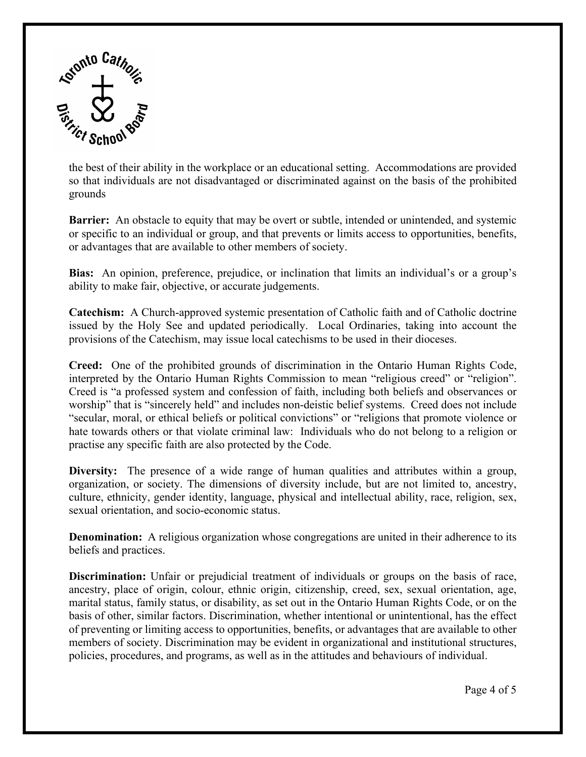

the best of their ability in the workplace or an educational setting. Accommodations are provided so that individuals are not disadvantaged or discriminated against on the basis of the prohibited grounds

**Barrier:** An obstacle to equity that may be overt or subtle, intended or unintended, and systemic or specific to an individual or group, and that prevents or limits access to opportunities, benefits, or advantages that are available to other members of society.

**Bias:** An opinion, preference, prejudice, or inclination that limits an individual's or a group's ability to make fair, objective, or accurate judgements.

**Catechism:** A Church-approved systemic presentation of Catholic faith and of Catholic doctrine issued by the Holy See and updated periodically. Local Ordinaries, taking into account the provisions of the Catechism, may issue local catechisms to be used in their dioceses.

**Creed:** One of the prohibited grounds of discrimination in the Ontario Human Rights Code, interpreted by the Ontario Human Rights Commission to mean "religious creed" or "religion". Creed is "a professed system and confession of faith, including both beliefs and observances or worship" that is "sincerely held" and includes non-deistic belief systems. Creed does not include "secular, moral, or ethical beliefs or political convictions" or "religions that promote violence or hate towards others or that violate criminal law: Individuals who do not belong to a religion or practise any specific faith are also protected by the Code.

**Diversity:** The presence of a wide range of human qualities and attributes within a group, organization, or society. The dimensions of diversity include, but are not limited to, ancestry, culture, ethnicity, gender identity, language, physical and intellectual ability, race, religion, sex, sexual orientation, and socio-economic status.

**Denomination:** A religious organization whose congregations are united in their adherence to its beliefs and practices.

**Discrimination:** Unfair or prejudicial treatment of individuals or groups on the basis of race, ancestry, place of origin, colour, ethnic origin, citizenship, creed, sex, sexual orientation, age, marital status, family status, or disability, as set out in the Ontario Human Rights Code, or on the basis of other, similar factors. Discrimination, whether intentional or unintentional, has the effect of preventing or limiting access to opportunities, benefits, or advantages that are available to other members of society. Discrimination may be evident in organizational and institutional structures, policies, procedures, and programs, as well as in the attitudes and behaviours of individual.